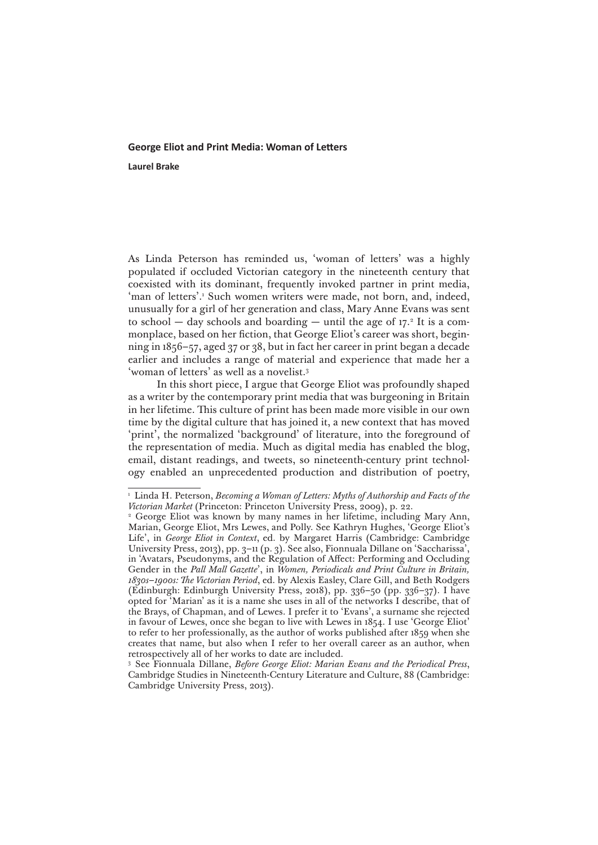## **George Eliot and Print Media: Woman of Letters**

**Laurel Brake**

As Linda Peterson has reminded us, 'woman of letters' was a highly populated if occluded Victorian category in the nineteenth century that coexisted with its dominant, frequently invoked partner in print media, 'man of letters'.<sup>1</sup> Such women writers were made, not born, and, indeed, unusually for a girl of her generation and class, Mary Anne Evans was sent to school  $-$  day schools and boarding  $-$  until the age of 17. $^{\circ}$  It is a commonplace, based on her fiction, that George Eliot's career was short, beginning in 1856–57, aged 37 or 38, but in fact her career in print began a decade earlier and includes a range of material and experience that made her a 'woman of letters' as well as a novelist.3

In this short piece, I argue that George Eliot was profoundly shaped as a writer by the contemporary print media that was burgeoning in Britain in her lifetime. This culture of print has been made more visible in our own time by the digital culture that has joined it, a new context that has moved 'print', the normalized 'background' of literature, into the foreground of the representation of media. Much as digital media has enabled the blog, email, distant readings, and tweets, so nineteenth-century print technology enabled an unprecedented production and distribution of poetry,

<sup>&</sup>lt;sup>1</sup> Linda H. Peterson, *Becoming a Woman of Letters: Myths of Authorship and Facts of the Victorian Market* (Princeton: Princeton University Press, 2009), p. 22.

<sup>&</sup>lt;sup>2</sup> George Eliot was known by many names in her lifetime, including Mary Ann, Marian, George Eliot, Mrs Lewes, and Polly. See Kathryn Hughes, 'George Eliot's Life', in *George Eliot in Context*, ed. by Margaret Harris (Cambridge: Cambridge University Press, 2013), pp. 3–11 (p. 3). See also, Fionnuala Dillane on 'Saccharissa', in 'Avatars, Pseudonyms, and the Regulation of Affect: Performing and Occluding Gender in the *Pall Mall Gazette*', in *Women, Periodicals and Print Culture in Britain, 1830s–1900s: The Victorian Period*, ed. by Alexis Easley, Clare Gill, and Beth Rodgers (Edinburgh: Edinburgh University Press, 2018), pp. 336–50 (pp. 336–37). I have opted for 'Marian' as it is a name she uses in all of the networks I describe, that of the Brays, of Chapman, and of Lewes. I prefer it to 'Evans', a surname she rejected in favour of Lewes, once she began to live with Lewes in 1854. I use 'George Eliot' to refer to her professionally, as the author of works published after 1859 when she creates that name, but also when I refer to her overall career as an author, when retrospectively all of her works to date are included.

<sup>3</sup> See Fionnuala Dillane, *Before George Eliot: Marian Evans and the Periodical Press*, Cambridge Studies in Nineteenth-Century Literature and Culture, 88 (Cambridge: Cambridge University Press, 2013).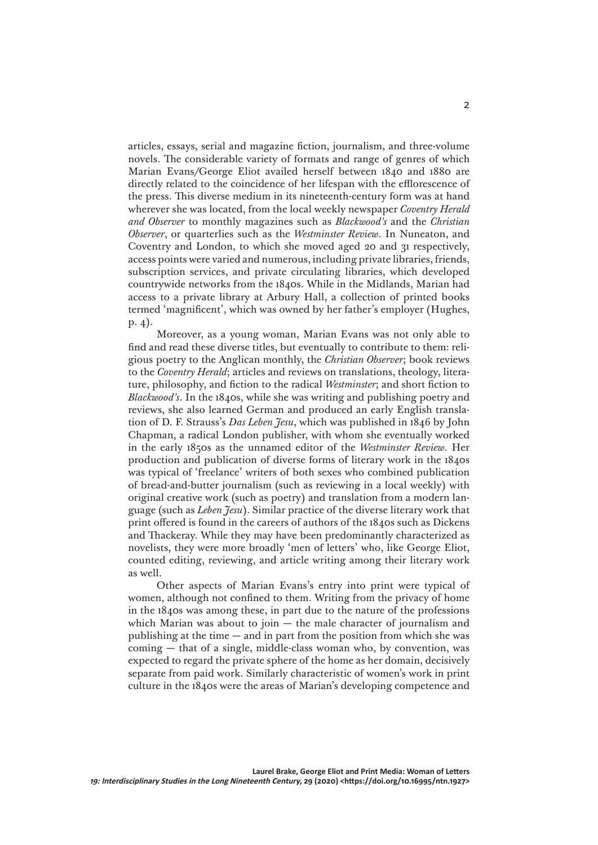articles, essays, serial and magazine fiction, journalism, and three-volume novels. The considerable variety of formats and range of genres of which Marian Evans/George Eliot availed herself between 1840 and 1880 are directly related to the coincidence of her lifespan with the efflorescence of the press. This diverse medium in its nineteenth-century form was at hand wherever she was located, from the local weekly newspaper *Coventry Herald and Observer* to monthly magazines such as *Blackwood's* and the *Christian Observer*, or quarterlies such as the *Westminster Review*. In Nuneaton, and Coventry and London, to which she moved aged 20 and 31 respectively, access points were varied and numerous, including private libraries, friends, subscription services, and private circulating libraries, which developed countrywide networks from the 1840s. While in the Midlands, Marian had access to a private library at Arbury Hall, a collection of printed books termed 'magnificent', which was owned by her father's employer (Hughes, p. 4).

Moreover, as a young woman, Marian Evans was not only able to find and read these diverse titles, but eventually to contribute to them: religious poetry to the Anglican monthly, the *Christian Observer*; book reviews to the *Coventry Herald*; articles and reviews on translations, theology, literature, philosophy, and fiction to the radical *Westminster*; and short fiction to *Blackwood's*. In the 1840s, while she was writing and publishing poetry and reviews, she also learned German and produced an early English translation of D. F. Strauss's *Das Leben Jesu*, which was published in 1846 by John Chapman, a radical London publisher, with whom she eventually worked in the early 1850s as the unnamed editor of the *Westminster Review*. Her production and publication of diverse forms of literary work in the 1840s was typical of 'freelance' writers of both sexes who combined publication of bread-and-butter journalism (such as reviewing in a local weekly) with original creative work (such as poetry) and translation from a modern language (such as *Leben Jesu*). Similar practice of the diverse literary work that print offered is found in the careers of authors of the 1840s such as Dickens and Thackeray. While they may have been predominantly characterized as novelists, they were more broadly 'men of letters' who, like George Eliot, counted editing, reviewing, and article writing among their literary work as well.

Other aspects of Marian Evans's entry into print were typical of women, although not confined to them. Writing from the privacy of home in the 1840s was among these, in part due to the nature of the professions which Marian was about to join  $-$  the male character of journalism and publishing at the time  $-$  and in part from the position from which she was coming — that of a single, middle-class woman who, by convention, was expected to regard the private sphere of the home as her domain, decisively separate from paid work. Similarly characteristic of women's work in print culture in the 1840s were the areas of Marian's developing competence and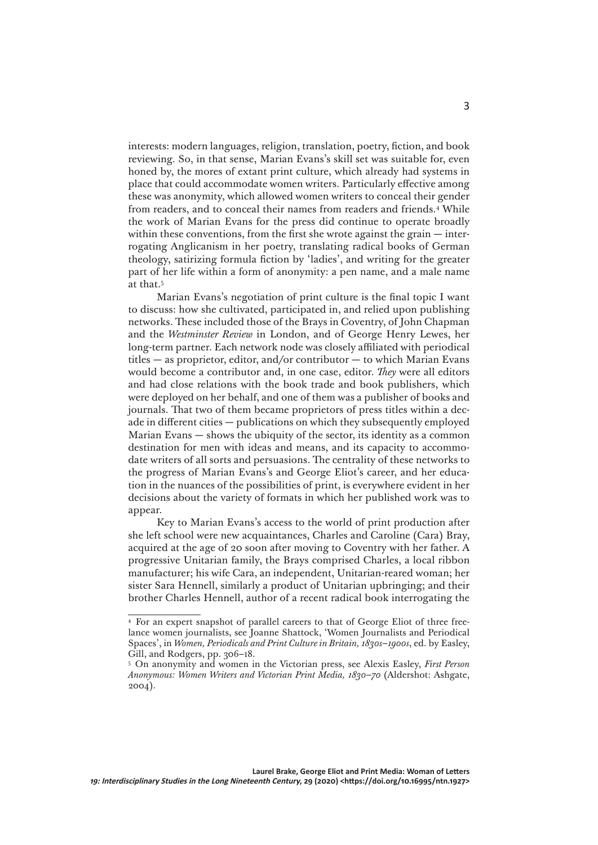interests: modern languages, religion, translation, poetry, fiction, and book reviewing. So, in that sense, Marian Evans's skill set was suitable for, even honed by, the mores of extant print culture, which already had systems in place that could accommodate women writers. Particularly effective among these was anonymity, which allowed women writers to conceal their gender from readers, and to conceal their names from readers and friends.4 While the work of Marian Evans for the press did continue to operate broadly within these conventions, from the first she wrote against the grain — interrogating Anglicanism in her poetry, translating radical books of German theology, satirizing formula fiction by 'ladies', and writing for the greater part of her life within a form of anonymity: a pen name, and a male name at that.5

Marian Evans's negotiation of print culture is the final topic I want to discuss: how she cultivated, participated in, and relied upon publishing networks. These included those of the Brays in Coventry, of John Chapman and the *Westminster Review* in London, and of George Henry Lewes, her long-term partner. Each network node was closely affiliated with periodical titles — as proprietor, editor, and/or contributor — to which Marian Evans would become a contributor and, in one case, editor. *They* were all editors and had close relations with the book trade and book publishers, which were deployed on her behalf, and one of them was a publisher of books and journals. That two of them became proprietors of press titles within a decade in different cities — publications on which they subsequently employed Marian Evans — shows the ubiquity of the sector, its identity as a common destination for men with ideas and means, and its capacity to accommodate writers of all sorts and persuasions. The centrality of these networks to the progress of Marian Evans's and George Eliot's career, and her education in the nuances of the possibilities of print, is everywhere evident in her decisions about the variety of formats in which her published work was to appear.

Key to Marian Evans's access to the world of print production after she left school were new acquaintances, Charles and Caroline (Cara) Bray, acquired at the age of 20 soon after moving to Coventry with her father. A progressive Unitarian family, the Brays comprised Charles, a local ribbon manufacturer; his wife Cara, an independent, Unitarian-reared woman; her sister Sara Hennell, similarly a product of Unitarian upbringing; and their brother Charles Hennell, author of a recent radical book interrogating the

<sup>4</sup> For an expert snapshot of parallel careers to that of George Eliot of three freelance women journalists, see Joanne Shattock, 'Women Journalists and Periodical Spaces', in *Women, Periodicals and Print Culture in Britain, 1830s–1900s*, ed. by Easley, Gill, and Rodgers, pp. 306–18.

<sup>5</sup> On anonymity and women in the Victorian press, see Alexis Easley, *First Person Anonymous: Women Writers and Victorian Print Media, 1830–70* (Aldershot: Ashgate, 2004).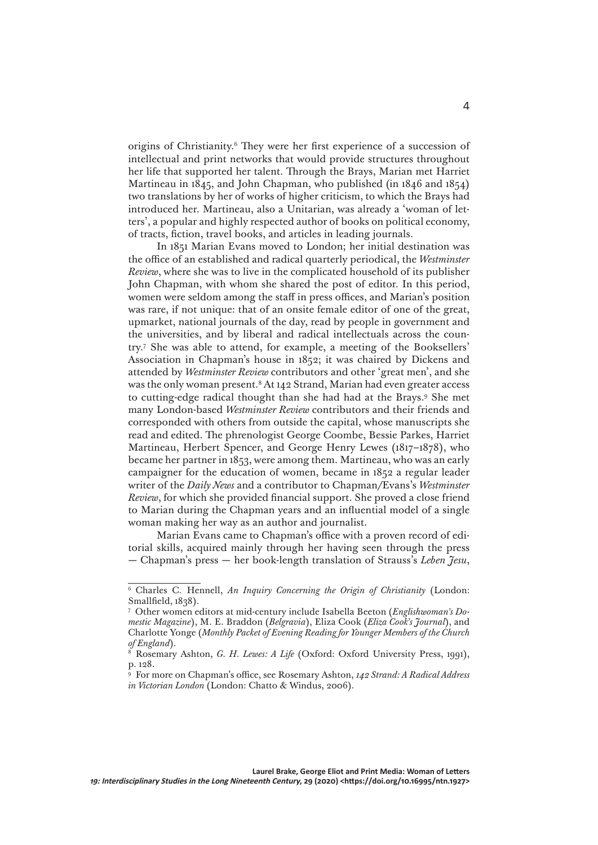origins of Christianity.6 They were her first experience of a succession of intellectual and print networks that would provide structures throughout her life that supported her talent. Through the Brays, Marian met Harriet Martineau in 1845, and John Chapman, who published (in 1846 and 1854) two translations by her of works of higher criticism, to which the Brays had introduced her. Martineau, also a Unitarian, was already a 'woman of letters', a popular and highly respected author of books on political economy, of tracts, fiction, travel books, and articles in leading journals.

In 1851 Marian Evans moved to London; her initial destination was the office of an established and radical quarterly periodical, the *Westminster Review*, where she was to live in the complicated household of its publisher John Chapman, with whom she shared the post of editor. In this period, women were seldom among the staff in press offices, and Marian's position was rare, if not unique: that of an onsite female editor of one of the great, upmarket, national journals of the day, read by people in government and the universities, and by liberal and radical intellectuals across the country.7 She was able to attend, for example, a meeting of the Booksellers' Association in Chapman's house in 1852; it was chaired by Dickens and attended by *Westminster Review* contributors and other 'great men', and she was the only woman present.8 At 142 Strand, Marian had even greater access to cutting-edge radical thought than she had had at the Brays.9 She met many London-based *Westminster Review* contributors and their friends and corresponded with others from outside the capital, whose manuscripts she read and edited. The phrenologist George Coombe, Bessie Parkes, Harriet Martineau, Herbert Spencer, and George Henry Lewes (1817–1878), who became her partner in 1853, were among them. Martineau, who was an early campaigner for the education of women, became in 1852 a regular leader writer of the *Daily News* and a contributor to Chapman/Evans's *Westminster Review*, for which she provided financial support. She proved a close friend to Marian during the Chapman years and an influential model of a single woman making her way as an author and journalist.

Marian Evans came to Chapman's office with a proven record of editorial skills, acquired mainly through her having seen through the press — Chapman's press — her book-length translation of Strauss's *Leben Jesu*,

<sup>6</sup> Charles C. Hennell, *An Inquiry Concerning the Origin of Christianity* (London: Smallfield, 1838).

<sup>7</sup> Other women editors at mid-century include Isabella Beeton (*Englishwoman's Domestic Magazine*), M. E. Braddon (*Belgravia*), Eliza Cook (*Eliza Cook's Journal*), and Charlotte Yonge (*Monthly Packet of Evening Reading for Younger Members of the Church of England*).

<sup>8</sup> Rosemary Ashton, *G. H. Lewes: A Life* (Oxford: Oxford University Press, 1991), p. 128.

<sup>9</sup> For more on Chapman's office, see Rosemary Ashton, *142 Strand: A Radical Address in Victorian London* (London: Chatto & Windus, 2006).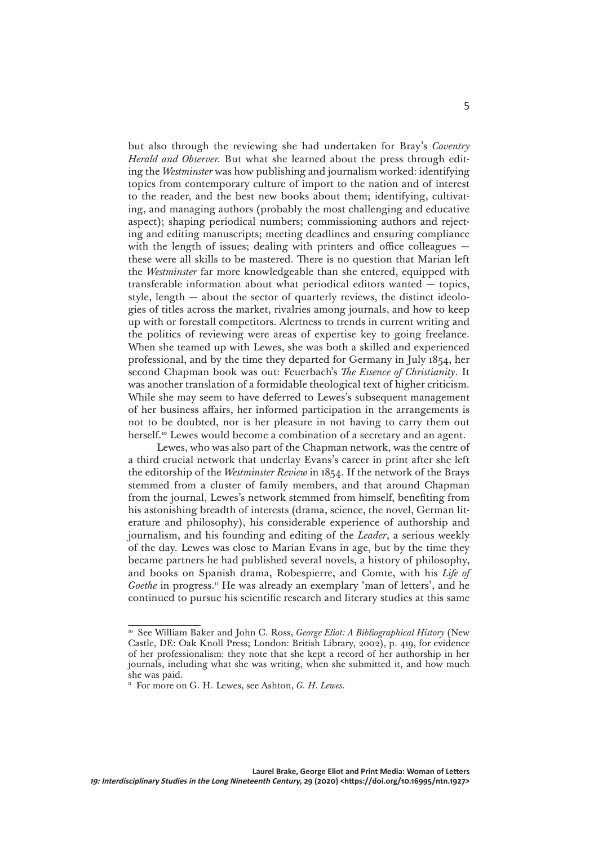but also through the reviewing she had undertaken for Bray's *Coventry Herald and Observer.* But what she learned about the press through editing the *Westminster* was how publishing and journalism worked: identifying topics from contemporary culture of import to the nation and of interest to the reader, and the best new books about them; identifying, cultivating, and managing authors (probably the most challenging and educative aspect); shaping periodical numbers; commissioning authors and rejecting and editing manuscripts; meeting deadlines and ensuring compliance with the length of issues; dealing with printers and office colleagues these were all skills to be mastered. There is no question that Marian left the *Westminster* far more knowledgeable than she entered, equipped with transferable information about what periodical editors wanted — topics, style, length — about the sector of quarterly reviews, the distinct ideologies of titles across the market, rivalries among journals, and how to keep up with or forestall competitors. Alertness to trends in current writing and the politics of reviewing were areas of expertise key to going freelance. When she teamed up with Lewes, she was both a skilled and experienced professional, and by the time they departed for Germany in July 1854, her second Chapman book was out: Feuerbach's *The Essence of Christianity*. It was another translation of a formidable theological text of higher criticism. While she may seem to have deferred to Lewes's subsequent management of her business affairs, her informed participation in the arrangements is not to be doubted, nor is her pleasure in not having to carry them out herself.<sup>10</sup> Lewes would become a combination of a secretary and an agent.

Lewes, who was also part of the Chapman network, was the centre of a third crucial network that underlay Evans's career in print after she left the editorship of the *Westminster Review* in 1854. If the network of the Brays stemmed from a cluster of family members, and that around Chapman from the journal, Lewes's network stemmed from himself, benefiting from his astonishing breadth of interests (drama, science, the novel, German literature and philosophy), his considerable experience of authorship and journalism, and his founding and editing of the *Leader*, a serious weekly of the day. Lewes was close to Marian Evans in age, but by the time they became partners he had published several novels, a history of philosophy, and books on Spanish drama, Robespierre, and Comte, with his *Life of Goethe* in progress.<sup>11</sup> He was already an exemplary 'man of letters', and he continued to pursue his scientific research and literary studies at this same

<sup>&</sup>lt;sup>10</sup> See William Baker and John C. Ross, *George Eliot: A Bibliographical History* (New Castle, DE: Oak Knoll Press; London: British Library, 2002), p. 419, for evidence of her professionalism: they note that she kept a record of her authorship in her journals, including what she was writing, when she submitted it, and how much she was paid.

<sup>&</sup>lt;sup>11</sup> For more on G. H. Lewes, see Ashton, *G. H. Lewes*.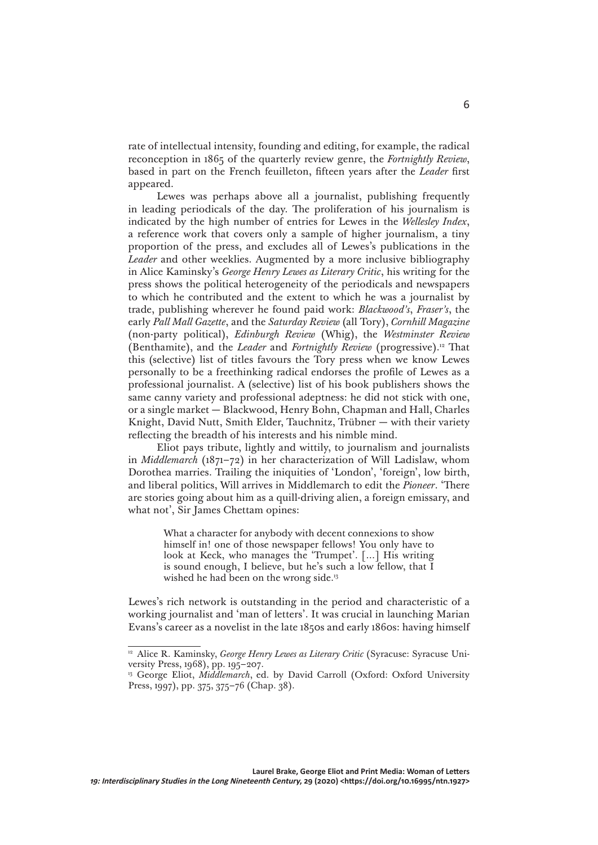rate of intellectual intensity, founding and editing, for example, the radical reconception in 1865 of the quarterly review genre, the *Fortnightly Review*, based in part on the French feuilleton, fifteen years after the *Leader* first appeared.

Lewes was perhaps above all a journalist, publishing frequently in leading periodicals of the day. The proliferation of his journalism is indicated by the high number of entries for Lewes in the *Wellesley Index*, a reference work that covers only a sample of higher journalism, a tiny proportion of the press, and excludes all of Lewes's publications in the *Leader* and other weeklies. Augmented by a more inclusive bibliography in Alice Kaminsky's *George Henry Lewes as Literary Critic*, his writing for the press shows the political heterogeneity of the periodicals and newspapers to which he contributed and the extent to which he was a journalist by trade, publishing wherever he found paid work: *Blackwood's*, *Fraser's*, the early *Pall Mall Gazette*, and the *Saturday Review* (all Tory), *Cornhill Magazine*  (non-party political), *Edinburgh Review* (Whig), the *Westminster Review* (Benthamite), and the *Leader* and *Fortnightly Review* (progressive).12 That this (selective) list of titles favours the Tory press when we know Lewes personally to be a freethinking radical endorses the profile of Lewes as a professional journalist. A (selective) list of his book publishers shows the same canny variety and professional adeptness: he did not stick with one, or a single market — Blackwood, Henry Bohn, Chapman and Hall, Charles Knight, David Nutt, Smith Elder, Tauchnitz, Trübner — with their variety reflecting the breadth of his interests and his nimble mind.

Eliot pays tribute, lightly and wittily, to journalism and journalists in *Middlemarch* (1871–72) in her characterization of Will Ladislaw, whom Dorothea marries. Trailing the iniquities of 'London', 'foreign', low birth, and liberal politics, Will arrives in Middlemarch to edit the *Pioneer*. 'There are stories going about him as a quill-driving alien, a foreign emissary, and what not', Sir James Chettam opines:

> What a character for anybody with decent connexions to show himself in! one of those newspaper fellows! You only have to look at Keck, who manages the 'Trumpet'. […] His writing is sound enough, I believe, but he's such a low fellow, that I wished he had been on the wrong side.<sup>13</sup>

Lewes's rich network is outstanding in the period and characteristic of a working journalist and 'man of letters'. It was crucial in launching Marian Evans's career as a novelist in the late 1850s and early 1860s: having himself

<sup>&</sup>lt;sup>12</sup> Alice R. Kaminsky, *George Henry Lewes as Literary Critic* (Syracuse: Syracuse University Press, 1968), pp. 195–207.

<sup>&</sup>lt;sup>13</sup> George Eliot, *Middlemarch*, ed. by David Carroll (Oxford: Oxford University Press, 1997), pp. 375, 375–76 (Chap. 38).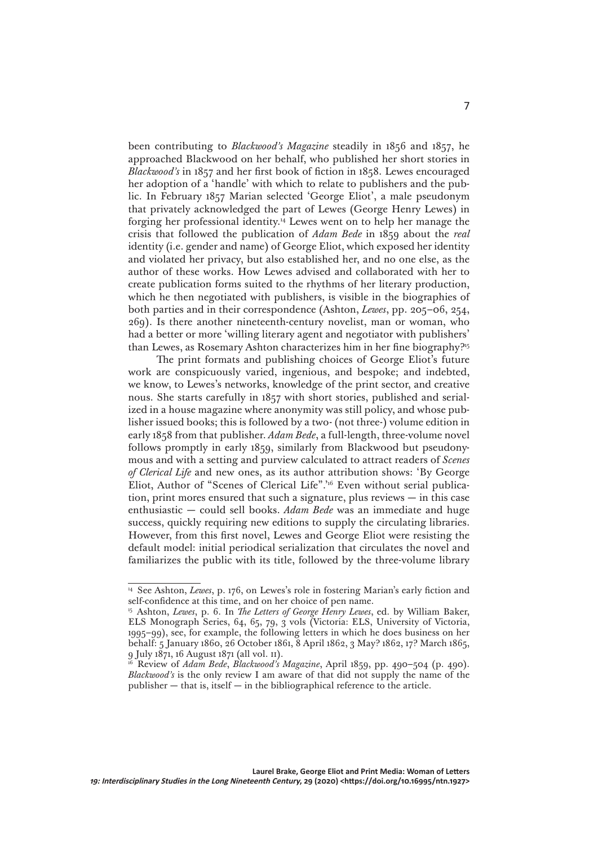been contributing to *Blackwood's Magazine* steadily in 1856 and 1857, he approached Blackwood on her behalf, who published her short stories in *Blackwood's* in 1857 and her first book of fiction in 1858. Lewes encouraged her adoption of a 'handle' with which to relate to publishers and the public. In February 1857 Marian selected 'George Eliot', a male pseudonym that privately acknowledged the part of Lewes (George Henry Lewes) in forging her professional identity.14 Lewes went on to help her manage the crisis that followed the publication of *Adam Bede* in 1859 about the *real* identity (i.e. gender and name) of George Eliot, which exposed her identity and violated her privacy, but also established her, and no one else, as the author of these works. How Lewes advised and collaborated with her to create publication forms suited to the rhythms of her literary production, which he then negotiated with publishers, is visible in the biographies of both parties and in their correspondence (Ashton, *Lewes*, pp. 205–06, 254, 269). Is there another nineteenth-century novelist, man or woman, who had a better or more 'willing literary agent and negotiator with publishers' than Lewes, as Rosemary Ashton characterizes him in her fine biography?15

The print formats and publishing choices of George Eliot's future work are conspicuously varied, ingenious, and bespoke; and indebted, we know, to Lewes's networks, knowledge of the print sector, and creative nous. She starts carefully in 1857 with short stories, published and serialized in a house magazine where anonymity was still policy, and whose publisher issued books; this is followed by a two- (not three-) volume edition in early 1858 from that publisher. *Adam Bede*, a full-length, three-volume novel follows promptly in early 1859, similarly from Blackwood but pseudonymous and with a setting and purview calculated to attract readers of *Scenes of Clerical Life* and new ones, as its author attribution shows: 'By George Eliot, Author of "Scenes of Clerical Life".<sup>16</sup> Even without serial publication, print mores ensured that such a signature, plus reviews — in this case enthusiastic — could sell books. *Adam Bede* was an immediate and huge success, quickly requiring new editions to supply the circulating libraries. However, from this first novel, Lewes and George Eliot were resisting the default model: initial periodical serialization that circulates the novel and familiarizes the public with its title, followed by the three-volume library

<sup>&</sup>lt;sup>14</sup> See Ashton, *Lewes*, p. 176, on Lewes's role in fostering Marian's early fiction and self-confidence at this time, and on her choice of pen name.

<sup>15</sup> Ashton, *Lewes*, p. 6. In *The Letters of George Henry Lewes*, ed. by William Baker, ELS Monograph Series, 64, 65, 79, 3 vols (Victoria: ELS, University of Victoria, 1995–99), see, for example, the following letters in which he does business on her behalf: 5 January 1860, 26 October 1861, 8 April 1862, 3 May? 1862, 17? March 1865, 9 July 1871, 16 August 1871 (all vol. ii).

<sup>16</sup> Review of *Adam Bede*, *Blackwood's Magazine*, April 1859, pp. 490–504 (p. 490). *Blackwood's* is the only review I am aware of that did not supply the name of the publisher — that is, itself — in the bibliographical reference to the article.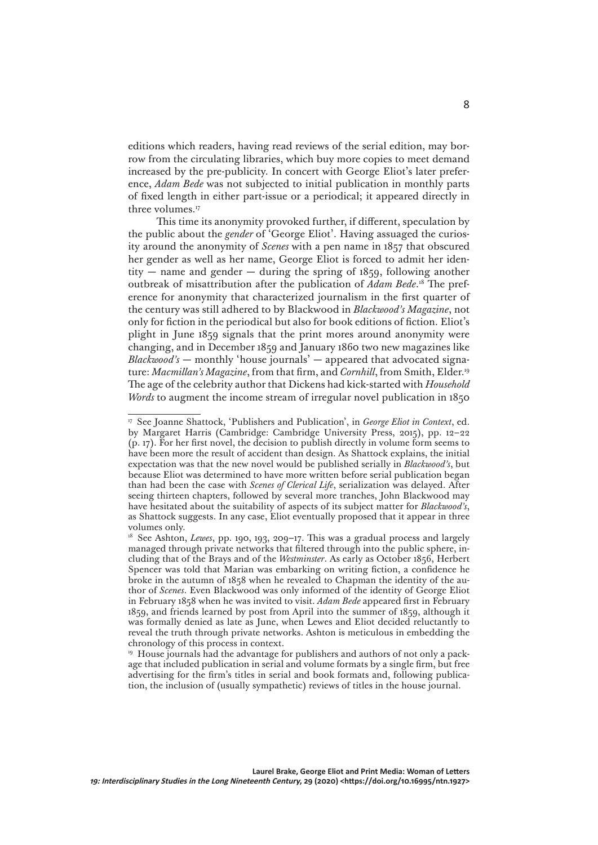editions which readers, having read reviews of the serial edition, may borrow from the circulating libraries, which buy more copies to meet demand increased by the pre-publicity. In concert with George Eliot's later preference, *Adam Bede* was not subjected to initial publication in monthly parts of fixed length in either part-issue or a periodical; it appeared directly in three volumes.<sup>17</sup>

This time its anonymity provoked further, if different, speculation by the public about the *gender* of 'George Eliot'. Having assuaged the curiosity around the anonymity of *Scenes* with a pen name in 1857 that obscured her gender as well as her name, George Eliot is forced to admit her identity — name and gender — during the spring of  $1859$ , following another outbreak of misattribution after the publication of *Adam Bede*. 18 The preference for anonymity that characterized journalism in the first quarter of the century was still adhered to by Blackwood in *Blackwood's Magazine*, not only for fiction in the periodical but also for book editions of fiction. Eliot's plight in June 1859 signals that the print mores around anonymity were changing, and in December 1859 and January 1860 two new magazines like *Blackwood's* — monthly 'house journals' — appeared that advocated signature: *Macmillan's Magazine*, from that firm, and *Cornhill*, from Smith, Elder.19 The age of the celebrity author that Dickens had kick-started with *Household Words* to augment the income stream of irregular novel publication in 1850

<sup>17</sup> See Joanne Shattock, 'Publishers and Publication', in *George Eliot in Context*, ed. by Margaret Harris (Cambridge: Cambridge University Press, 2015), pp. 12–22 (p. 17). For her first novel, the decision to publish directly in volume form seems to have been more the result of accident than design. As Shattock explains, the initial expectation was that the new novel would be published serially in *Blackwood's*, but because Eliot was determined to have more written before serial publication began than had been the case with *Scenes of Clerical Life*, serialization was delayed. After seeing thirteen chapters, followed by several more tranches, John Blackwood may have hesitated about the suitability of aspects of its subject matter for *Blackwood's*, as Shattock suggests. In any case, Eliot eventually proposed that it appear in three volumes only.

<sup>&</sup>lt;sup>18</sup> See Ashton, *Lewes*, pp. 190, 193, 209-17. This was a gradual process and largely managed through private networks that filtered through into the public sphere, including that of the Brays and of the *Westminster*. As early as October 1856, Herbert Spencer was told that Marian was embarking on writing fiction, a confidence he broke in the autumn of 1858 when he revealed to Chapman the identity of the author of *Scenes*. Even Blackwood was only informed of the identity of George Eliot in February 1858 when he was invited to visit. *Adam Bede* appeared first in February 1859, and friends learned by post from April into the summer of 1859, although it was formally denied as late as June, when Lewes and Eliot decided reluctantly to reveal the truth through private networks. Ashton is meticulous in embedding the chronology of this process in context.

<sup>&</sup>lt;sup>19</sup> House journals had the advantage for publishers and authors of not only a package that included publication in serial and volume formats by a single firm, but free advertising for the firm's titles in serial and book formats and, following publication, the inclusion of (usually sympathetic) reviews of titles in the house journal.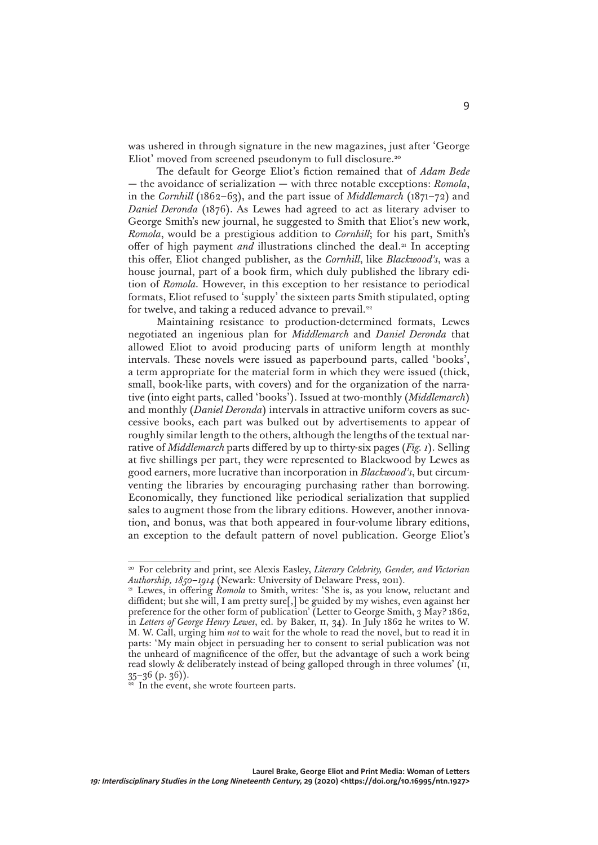was ushered in through signature in the new magazines, just after 'George Eliot' moved from screened pseudonym to full disclosure.<sup>20</sup>

The default for George Eliot's fiction remained that of *Adam Bede* — the avoidance of serialization — with three notable exceptions: *Romola*, in the *Cornhill* (1862–63), and the part issue of *Middlemarch* (1871–72) and *Daniel Deronda* (1876). As Lewes had agreed to act as literary adviser to George Smith's new journal, he suggested to Smith that Eliot's new work, *Romola*, would be a prestigious addition to *Cornhill*; for his part, Smith's offer of high payment *and* illustrations clinched the deal.<sup>21</sup> In accepting this offer, Eliot changed publisher, as the *Cornhill*, like *Blackwood's*, was a house journal, part of a book firm, which duly published the library edition of *Romola.* However, in this exception to her resistance to periodical formats, Eliot refused to 'supply' the sixteen parts Smith stipulated, opting for twelve, and taking a reduced advance to prevail.<sup>22</sup>

Maintaining resistance to production-determined formats, Lewes negotiated an ingenious plan for *Middlemarch* and *Daniel Deronda* that allowed Eliot to avoid producing parts of uniform length at monthly intervals. These novels were issued as paperbound parts, called 'books', a term appropriate for the material form in which they were issued (thick, small, book-like parts, with covers) and for the organization of the narrative (into eight parts, called 'books'). Issued at two-monthly (*Middlemarch*) and monthly (*Daniel Deronda*) intervals in attractive uniform covers as successive books, each part was bulked out by advertisements to appear of roughly similar length to the others, although the lengths of the textual narrative of *Middlemarch* parts differed by up to thirty-six pages (*Fig. 1*). Selling at five shillings per part, they were represented to Blackwood by Lewes as good earners, more lucrative than incorporation in *Blackwood's*, but circumventing the libraries by encouraging purchasing rather than borrowing. Economically, they functioned like periodical serialization that supplied sales to augment those from the library editions. However, another innovation, and bonus, was that both appeared in four-volume library editions, an exception to the default pattern of novel publication. George Eliot's

In the event, she wrote fourteen parts.

<sup>20</sup> For celebrity and print, see Alexis Easley, *Literary Celebrity, Gender, and Victorian Authorship, 1850–1914* (Newark: University of Delaware Press, 2011).

<sup>&</sup>lt;sup>21</sup> Lewes, in offering *Romola* to Smith, writes: 'She is, as you know, reluctant and diffident; but she will, I am pretty sure[,] be guided by my wishes, even against her preference for the other form of publication' (Letter to George Smith, 3 May? 1862, in *Letters of George Henry Lewes*, ed. by Baker, ii, 34). In July 1862 he writes to W. M. W. Call, urging him *not* to wait for the whole to read the novel, but to read it in parts: 'My main object in persuading her to consent to serial publication was not the unheard of magnificence of the offer, but the advantage of such a work being read slowly & deliberately instead of being galloped through in three volumes' (ii,  $35-36$  (p. 36)).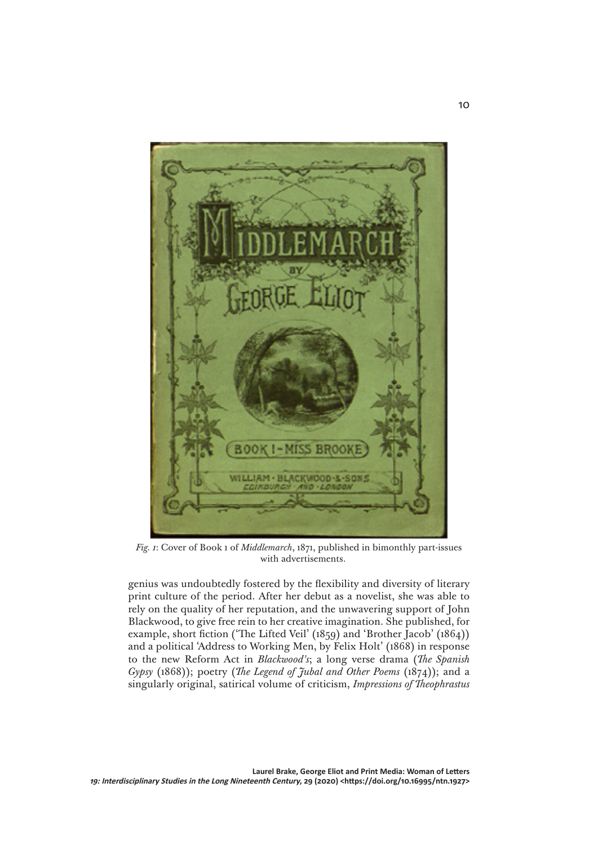

*Fig. 1*: Cover of Book 1 of *Middlemarch*, 1871, published in bimonthly part-issues with advertisements.

genius was undoubtedly fostered by the flexibility and diversity of literary print culture of the period. After her debut as a novelist, she was able to rely on the quality of her reputation, and the unwavering support of John Blackwood, to give free rein to her creative imagination. She published, for example, short fiction ('The Lifted Veil' (1859) and 'Brother Jacob' (1864)) and a political 'Address to Working Men, by Felix Holt' (1868) in response to the new Reform Act in *Blackwood's*; a long verse drama (*The Spanish Gypsy* (1868)); poetry (*The Legend of Jubal and Other Poems* (1874)); and a singularly original, satirical volume of criticism, *Impressions of Theophrastus*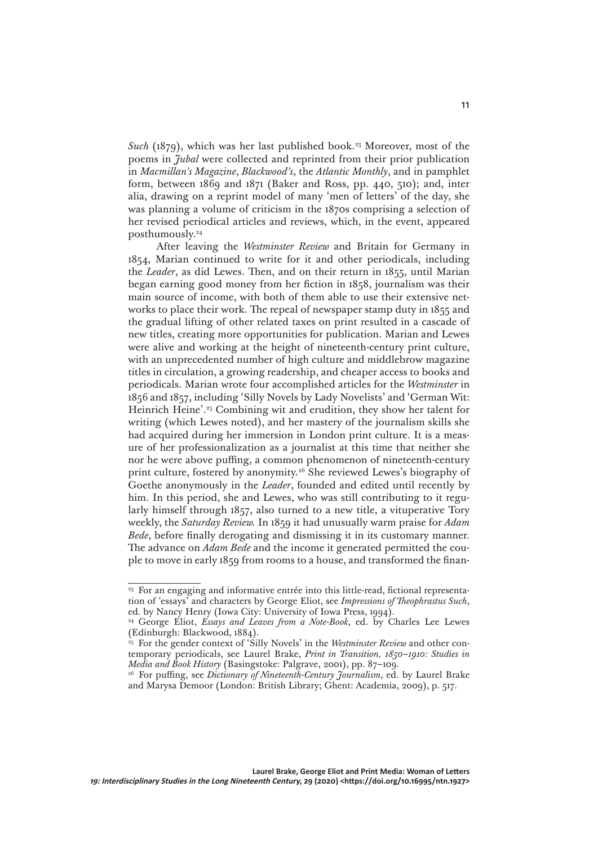*Such* (1879), which was her last published book.<sup>23</sup> Moreover, most of the poems in *Jubal* were collected and reprinted from their prior publication in *Macmillan's Magazine*, *Blackwood's*, the *Atlantic Monthly*, and in pamphlet form, between 1869 and 1871 (Baker and Ross, pp. 440, 510); and, inter alia, drawing on a reprint model of many 'men of letters' of the day, she was planning a volume of criticism in the 1870s comprising a selection of her revised periodical articles and reviews, which, in the event, appeared posthumously.24

After leaving the *Westminster Review* and Britain for Germany in 1854, Marian continued to write for it and other periodicals, including the *Leader*, as did Lewes. Then, and on their return in 1855, until Marian began earning good money from her fiction in 1858, journalism was their main source of income, with both of them able to use their extensive networks to place their work. The repeal of newspaper stamp duty in 1855 and the gradual lifting of other related taxes on print resulted in a cascade of new titles, creating more opportunities for publication. Marian and Lewes were alive and working at the height of nineteenth-century print culture, with an unprecedented number of high culture and middlebrow magazine titles in circulation, a growing readership, and cheaper access to books and periodicals. Marian wrote four accomplished articles for the *Westminster* in 1856 and 1857, including 'Silly Novels by Lady Novelists' and 'German Wit: Heinrich Heine'.25 Combining wit and erudition, they show her talent for writing (which Lewes noted), and her mastery of the journalism skills she had acquired during her immersion in London print culture. It is a measure of her professionalization as a journalist at this time that neither she nor he were above puffing, a common phenomenon of nineteenth-century print culture, fostered by anonymity.<sup>26</sup> She reviewed Lewes's biography of Goethe anonymously in the *Leader*, founded and edited until recently by him. In this period, she and Lewes, who was still contributing to it regularly himself through 1857, also turned to a new title, a vituperative Tory weekly, the *Saturday Review.* In 1859 it had unusually warm praise for *Adam Bede*, before finally derogating and dismissing it in its customary manner. The advance on *Adam Bede* and the income it generated permitted the couple to move in early 1859 from rooms to a house, and transformed the finan-

<sup>&</sup>lt;sup>23</sup> For an engaging and informative entrée into this little-read, fictional representation of 'essays' and characters by George Eliot, see *Impressions of Theophrastus Such*, ed. by Nancy Henry (Iowa City: University of Iowa Press, 1994).

<sup>24</sup> George Eliot, *Essays and Leaves from a Note-Book*, ed. by Charles Lee Lewes (Edinburgh: Blackwood, 1884).

<sup>&</sup>lt;sup>25</sup> For the gender context of 'Silly Novels' in the *Westminster Review* and other contemporary periodicals, see Laurel Brake, *Print in Transition, 1850–1910: Studies in Media and Book History* (Basingstoke: Palgrave, 2001), pp. 87–109.

<sup>26</sup> For puffing, see *Dictionary of Nineteenth-Century Journalism*, ed. by Laurel Brake and Marysa Demoor (London: British Library; Ghent: Academia, 2009), p. 517.